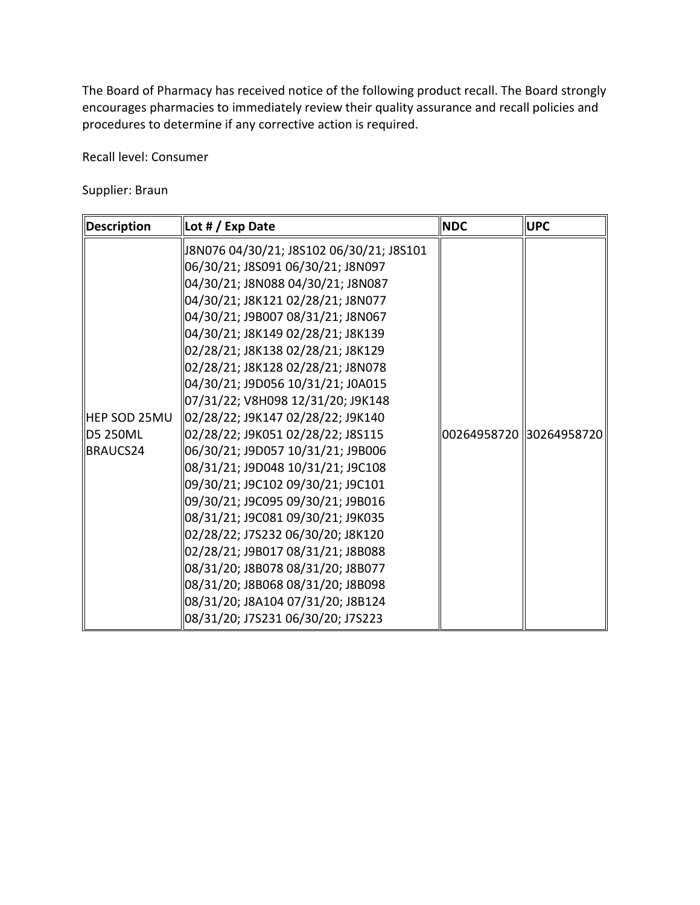The Board of Pharmacy has received notice of the following product recall. The Board strongly encourages pharmacies to immediately review their quality assurance and recall policies and procedures to determine if any corrective action is required.

Recall level: Consumer

Supplier: Braun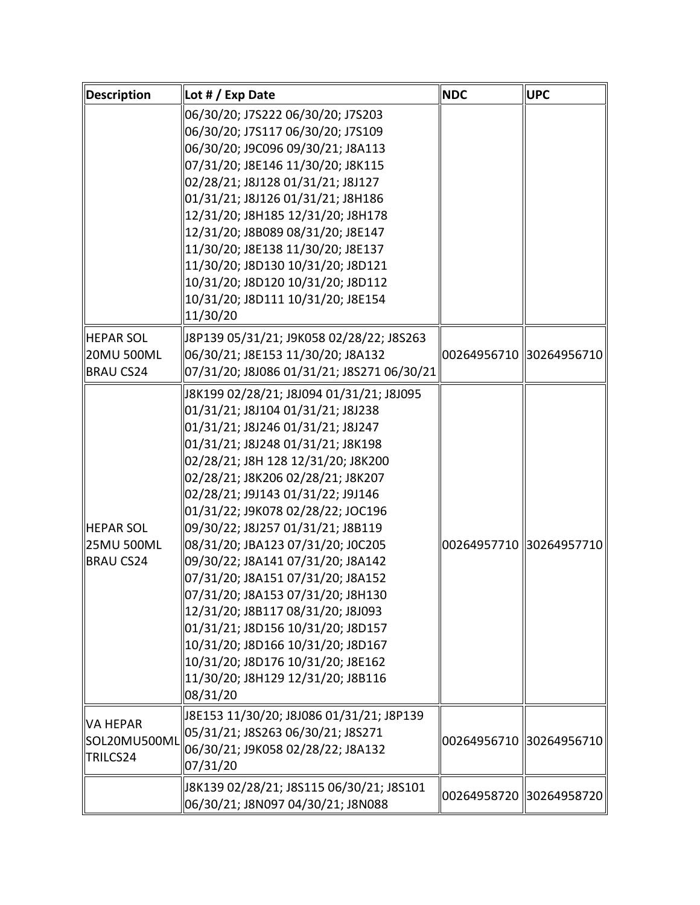| Description                                 | Lot $# / E$ xp Date                                                                                                                                                                                                                                                                                                                                                                                                                                                                                                                                                                                                                                                                                        | <b>NDC</b>              | <b>UPC</b>              |
|---------------------------------------------|------------------------------------------------------------------------------------------------------------------------------------------------------------------------------------------------------------------------------------------------------------------------------------------------------------------------------------------------------------------------------------------------------------------------------------------------------------------------------------------------------------------------------------------------------------------------------------------------------------------------------------------------------------------------------------------------------------|-------------------------|-------------------------|
|                                             | 06/30/20; J7S222 06/30/20; J7S203<br>06/30/20; J7S117 06/30/20; J7S109<br>06/30/20; J9C096 09/30/21; J8A113<br>07/31/20; J8E146 11/30/20; J8K115<br>02/28/21; J8J128 01/31/21; J8J127<br>01/31/21; J8J126 01/31/21; J8H186<br>12/31/20; J8H185 12/31/20; J8H178<br>12/31/20; J8B089 08/31/20; J8E147<br>11/30/20; J8E138 11/30/20; J8E137<br>11/30/20; J8D130 10/31/20; J8D121<br>10/31/20; J8D120 10/31/20; J8D112<br>10/31/20; J8D111 10/31/20; J8E154<br>11/30/20                                                                                                                                                                                                                                       |                         |                         |
| HEPAR SOL<br>20MU 500ML<br><b>BRAU CS24</b> | J8P139 05/31/21; J9K058 02/28/22; J8S263<br>06/30/21; J8E153 11/30/20; J8A132<br>07/31/20; J8J086 01/31/21; J8S271 06/30/21                                                                                                                                                                                                                                                                                                                                                                                                                                                                                                                                                                                | 00264956710 30264956710 |                         |
| HEPAR SOL<br>25MU 500ML<br>BRAU CS24        | J8K199 02/28/21; J8J094 01/31/21; J8J095<br>01/31/21; J8J104 01/31/21; J8J238<br>01/31/21; J8J246 01/31/21; J8J247<br>01/31/21; J8J248 01/31/21; J8K198<br>02/28/21; J8H 128 12/31/20; J8K200<br>02/28/21; J8K206 02/28/21; J8K207<br>02/28/21; J9J143 01/31/22; J9J146<br>01/31/22; J9K078 02/28/22; JOC196<br>09/30/22; J8J257 01/31/21; J8B119<br>08/31/20; JBA123 07/31/20; JOC205<br>09/30/22; J8A141 07/31/20; J8A142<br>07/31/20; J8A151 07/31/20; J8A152<br>07/31/20; J8A153 07/31/20; J8H130<br>12/31/20; J8B117 08/31/20; J8J093<br>01/31/21; J8D156 10/31/20; J8D157<br>10/31/20; J8D166 10/31/20; J8D167<br>10/31/20; J8D176 10/31/20; J8E162<br>11/30/20; J8H129 12/31/20; J8B116<br>08/31/20 | 00264957710 30264957710 |                         |
| <b>VA HEPAR</b><br>SOL20MU500ML<br>TRILCS24 | J8E153 11/30/20; J8J086 01/31/21; J8P139<br>05/31/21; J8S263 06/30/21; J8S271<br>06/30/21; J9K058 02/28/22; J8A132<br>07/31/20                                                                                                                                                                                                                                                                                                                                                                                                                                                                                                                                                                             | 00264956710 30264956710 |                         |
|                                             | J8K139 02/28/21; J8S115 06/30/21; J8S101<br>06/30/21; J8N097 04/30/21; J8N088                                                                                                                                                                                                                                                                                                                                                                                                                                                                                                                                                                                                                              |                         | 00264958720 30264958720 |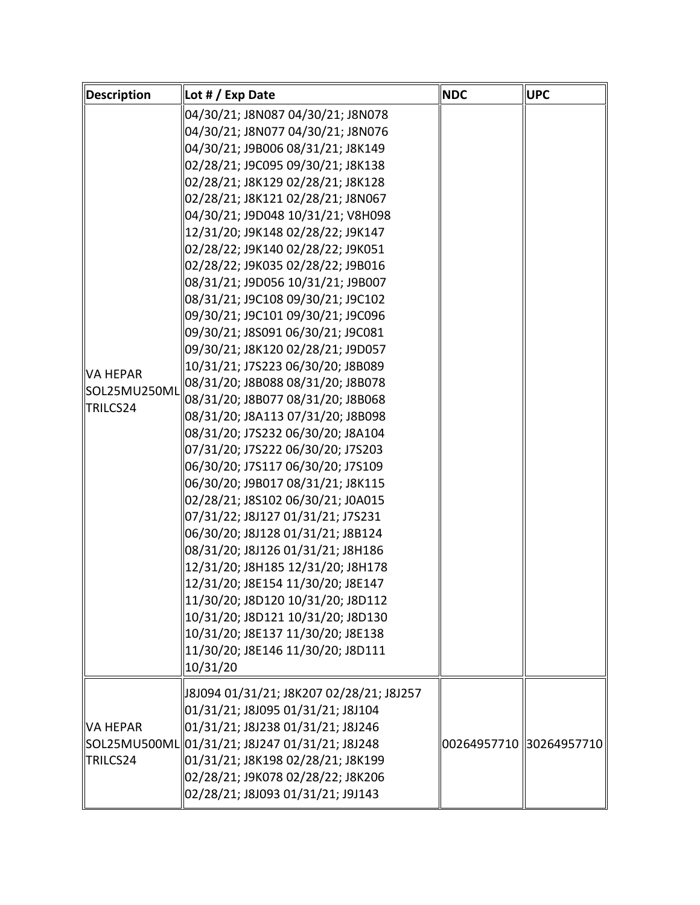| Description                                 | Lot # / Exp Date                                                                                                                                                                                                                                                                                                                                                                                                                                                                                                                                                                                                                                                                                                                                                                                                                                                                                                                                                                                                                                                                                                                                                                                                                                                              | <b>NDC</b>              | <b>UPC</b> |
|---------------------------------------------|-------------------------------------------------------------------------------------------------------------------------------------------------------------------------------------------------------------------------------------------------------------------------------------------------------------------------------------------------------------------------------------------------------------------------------------------------------------------------------------------------------------------------------------------------------------------------------------------------------------------------------------------------------------------------------------------------------------------------------------------------------------------------------------------------------------------------------------------------------------------------------------------------------------------------------------------------------------------------------------------------------------------------------------------------------------------------------------------------------------------------------------------------------------------------------------------------------------------------------------------------------------------------------|-------------------------|------------|
| <b>VA HEPAR</b><br>SOL25MU250ML<br>TRILCS24 | 04/30/21; J8N087 04/30/21; J8N078<br>04/30/21; J8N077 04/30/21; J8N076<br>04/30/21; J9B006 08/31/21; J8K149<br>02/28/21; J9C095 09/30/21; J8K138<br>02/28/21; J8K129 02/28/21; J8K128<br>02/28/21; J8K121 02/28/21; J8N067<br>04/30/21; J9D048 10/31/21; V8H098<br>12/31/20; J9K148 02/28/22; J9K147<br>02/28/22; J9K140 02/28/22; J9K051<br>02/28/22; J9K035 02/28/22; J9B016<br>08/31/21; J9D056 10/31/21; J9B007<br>08/31/21; J9C108 09/30/21; J9C102<br>09/30/21; J9C101 09/30/21; J9C096<br>09/30/21; J8S091 06/30/21; J9C081<br>09/30/21; J8K120 02/28/21; J9D057<br>10/31/21; J7S223 06/30/20; J8B089<br>08/31/20; J8B088 08/31/20; J8B078<br>08/31/20; J8B077 08/31/20; J8B068<br>08/31/20; J8A113 07/31/20; J8B098<br>08/31/20; J7S232 06/30/20; J8A104<br>07/31/20; J7S222 06/30/20; J7S203<br>06/30/20; J7S117 06/30/20; J7S109<br>06/30/20; J9B017 08/31/21; J8K115<br>02/28/21; J8S102 06/30/21; J0A015<br>07/31/22; J8J127 01/31/21; J7S231<br>06/30/20; J8J128 01/31/21; J8B124<br>08/31/20; J8J126 01/31/21; J8H186<br>12/31/20; J8H185 12/31/20; J8H178<br>12/31/20; J8E154 11/30/20; J8E147<br>11/30/20; J8D120 10/31/20; J8D112<br>10/31/20; J8D121 10/31/20; J8D130<br>10/31/20; J8E137 11/30/20; J8E138<br>11/30/20; J8E146 11/30/20; J8D111<br>10/31/20 |                         |            |
| lva hepar<br>TRILCS24                       | J8J094 01/31/21; J8K207 02/28/21; J8J257<br>01/31/21; J8J095 01/31/21; J8J104<br>01/31/21; J8J238 01/31/21; J8J246<br>SOL25MU500ML 01/31/21; J8J247 01/31/21; J8J248<br>01/31/21; J8K198 02/28/21; J8K199<br>02/28/21; J9K078 02/28/22; J8K206<br>02/28/21; J8J093 01/31/21; J9J143                                                                                                                                                                                                                                                                                                                                                                                                                                                                                                                                                                                                                                                                                                                                                                                                                                                                                                                                                                                           | 00264957710 30264957710 |            |